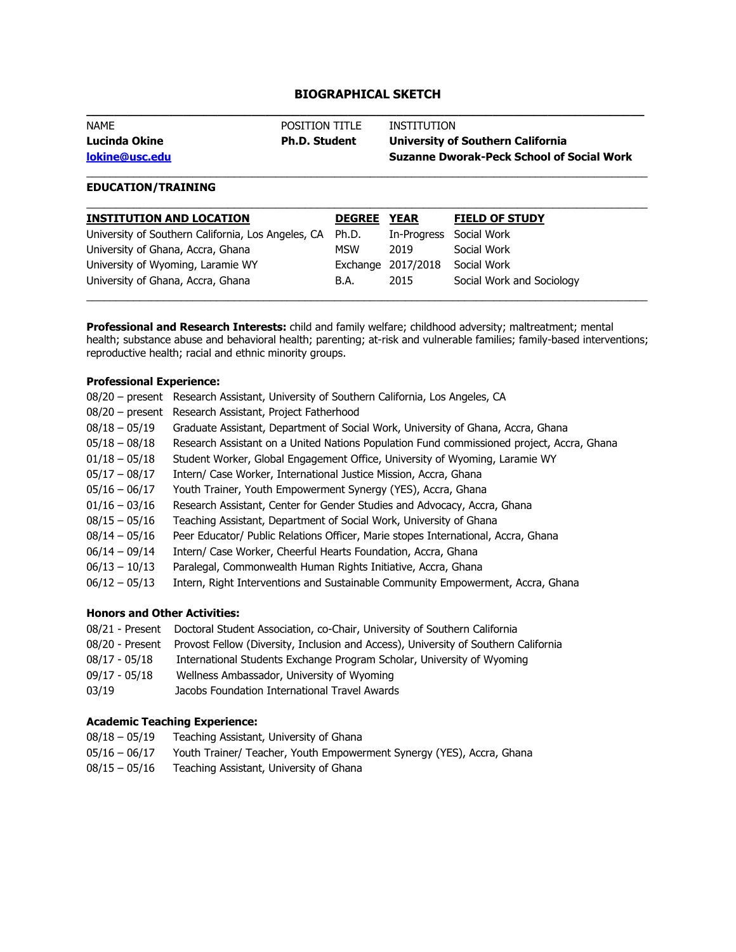# **BIOGRAPHICAL SKETCH \_\_\_\_\_\_\_\_\_\_\_\_\_\_\_\_\_\_\_\_\_\_\_\_\_\_\_\_\_\_\_\_\_\_\_\_\_\_\_\_\_\_\_\_\_\_\_\_\_\_\_\_\_\_\_\_\_\_\_\_\_\_\_\_\_\_\_\_\_\_\_\_\_\_\_\_\_\_\_\_\_**

| <b>NAME</b>    | POSITION TITLE       | INSTITUTION                                      |
|----------------|----------------------|--------------------------------------------------|
| Lucinda Okine  | <b>Ph.D. Student</b> | University of Southern California                |
| lokine@usc.edu |                      | <b>Suzanne Dworak-Peck School of Social Work</b> |
|                |                      |                                                  |

### **EDUCATION/TRAINING**

| <b>INSTITUTION AND LOCATION</b>                          | <b>DEGREE</b> | <b>YEAR</b>        | <b>FIELD OF STUDY</b>     |
|----------------------------------------------------------|---------------|--------------------|---------------------------|
| University of Southern California, Los Angeles, CA Ph.D. |               | In-Progress        | Social Work               |
| University of Ghana, Accra, Ghana                        | <b>MSW</b>    | 2019               | Social Work               |
| University of Wyoming, Laramie WY                        |               | Exchange 2017/2018 | Social Work               |
| University of Ghana, Accra, Ghana                        | B.A.          | 2015               | Social Work and Sociology |
|                                                          |               |                    |                           |

**Professional and Research Interests:** child and family welfare; childhood adversity; maltreatment; mental health; substance abuse and behavioral health; parenting; at-risk and vulnerable families; family-based interventions; reproductive health; racial and ethnic minority groups.

### **Professional Experience:**

| $08/20$ – present | Research Assistant, University of Southern California, Los Angeles, CA                    |
|-------------------|-------------------------------------------------------------------------------------------|
| $08/20$ – present | Research Assistant, Project Fatherhood                                                    |
| $08/18 - 05/19$   | Graduate Assistant, Department of Social Work, University of Ghana, Accra, Ghana          |
| $05/18 - 08/18$   | Research Assistant on a United Nations Population Fund commissioned project, Accra, Ghana |
| $01/18 - 05/18$   | Student Worker, Global Engagement Office, University of Wyoming, Laramie WY               |
| $05/17 - 08/17$   | Intern/ Case Worker, International Justice Mission, Accra, Ghana                          |
| $05/16 - 06/17$   | Youth Trainer, Youth Empowerment Synergy (YES), Accra, Ghana                              |
| $01/16 - 03/16$   | Research Assistant, Center for Gender Studies and Advocacy, Accra, Ghana                  |
| $08/15 - 05/16$   | Teaching Assistant, Department of Social Work, University of Ghana                        |
| $08/14 - 05/16$   | Peer Educator/ Public Relations Officer, Marie stopes International, Accra, Ghana         |
| $06/14 - 09/14$   | Intern/ Case Worker, Cheerful Hearts Foundation, Accra, Ghana                             |
| $06/13 - 10/13$   | Paralegal, Commonwealth Human Rights Initiative, Accra, Ghana                             |
| $06/12 - 05/13$   | Intern, Right Interventions and Sustainable Community Empowerment, Accra, Ghana           |
|                   |                                                                                           |

### **Honors and Other Activities:**

|                 | 08/21 - Present Doctoral Student Association, co-Chair, University of Southern California           |
|-----------------|-----------------------------------------------------------------------------------------------------|
|                 | 08/20 - Present Provost Fellow (Diversity, Inclusion and Access), University of Southern California |
| 08/17 - 05/18   | International Students Exchange Program Scholar, University of Wyoming                              |
| $09/17 - 05/18$ | Wellness Ambassador, University of Wyoming                                                          |
| 03/19           | Jacobs Foundation International Travel Awards                                                       |

## **Academic Teaching Experience:**

| $08/18 - 05/19$ | Teaching Assistant, University of Ghana                               |
|-----------------|-----------------------------------------------------------------------|
| 05/16 - 06/17   | Youth Trainer/ Teacher, Youth Empowerment Synergy (YES), Accra, Ghana |
| $08/15 - 05/16$ | Teaching Assistant, University of Ghana                               |